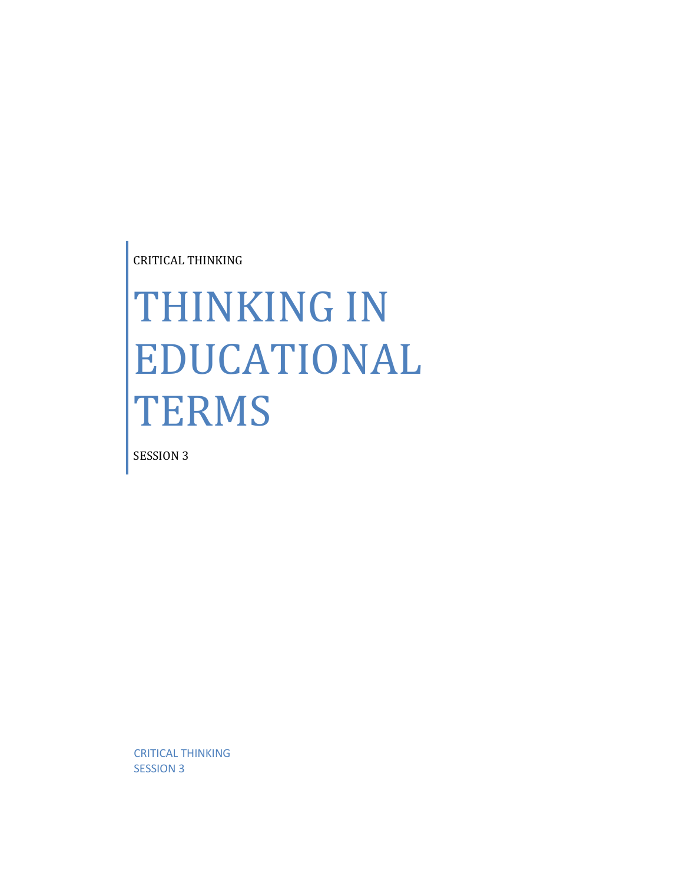CRITICAL THINKING

# THINKING IN EDUCATIONAL **TERMS**

SESSION 3

CRITICAL THINKING SESSION 3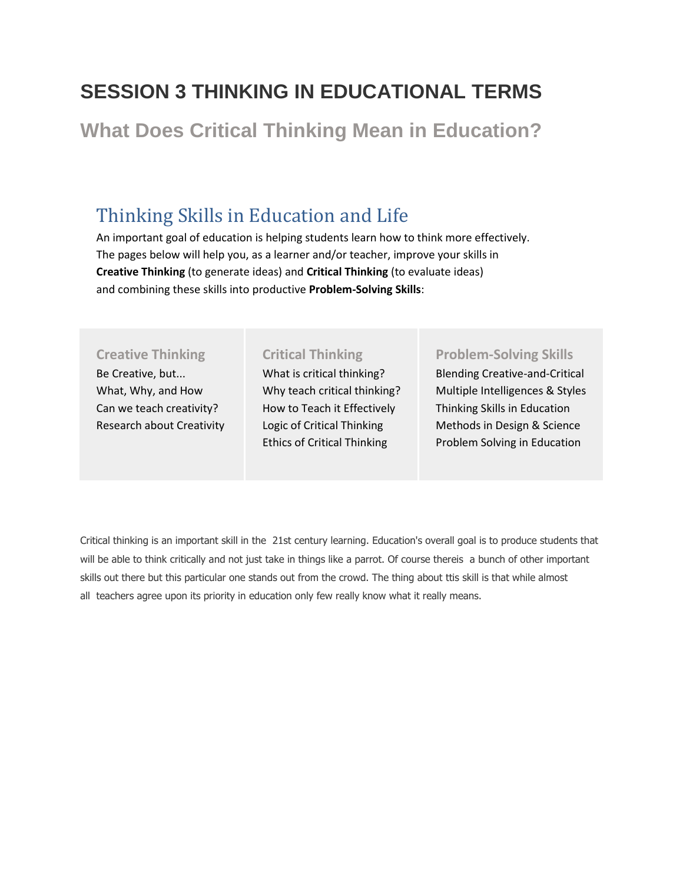# **SESSION 3 THINKING IN EDUCATIONAL TERMS**

**[What Does Critical Thinking Mean in Education?](http://www.educatorstechnology.com/2012/09/critical-thinking-learning.html)**

## Thinking Skills in Education and Life

An important goal of education is helping students learn how to think more effectively. The pages below will help you, as a learner and/or teacher, improve your skills in **Creative Thinking** (to generate ideas) and **Critical Thinking** (to evaluate ideas) and combining these skills into productive **Problem-Solving Skills**:

## **[Creative Thinking](http://www.asa3.org/ASA/education/think/creative.htm#i)**

Be Creative, but... What, Why, and How Can we teach creativity? Research about Creativity

#### **[Critical Thinking](http://www.asa3.org/ASA/education/think/critical.htm#i)**

What is critical thinking? Why teach critical thinking? How to Teach it Effectively Logic of Critical Thinking Ethics of Critical Thinking

### **[Problem-Solving Skills](http://www.asa3.org/ASA/education/think/methods.htm#i)**

Blending Creative-and-Critical Multiple Intelligences & Styles Thinking Skills in Education Methods in Design & Science Problem Solving in Education

Critical thinking is an important skill in the 21st century learning. Education's overall goal is to produce students that will be able to think critically and not just take in things like a parrot. Of course thereis a bunch of other important skills out there but this particular one stands out from the crowd. The thing about ttis skill is that while almost all teachers agree upon its priority in education only few really know what it really means.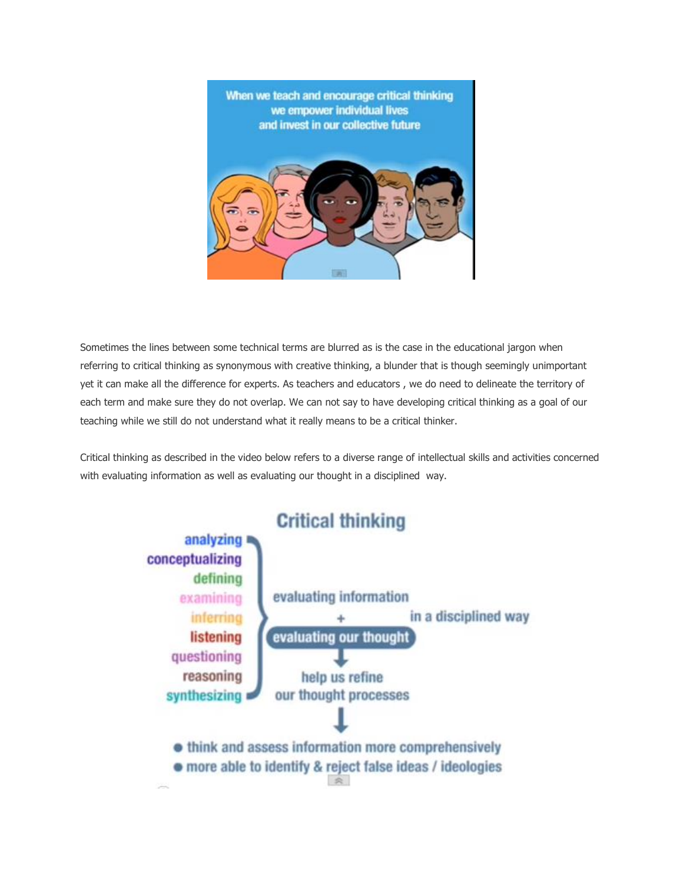

Sometimes the lines between some technical terms are blurred as is the case in the educational jargon when referring to critical thinking as synonymous with creative thinking, a blunder that is though seemingly unimportant yet it can make all the difference for experts. As teachers and educators , we do need to delineate the territory of each term and make sure they do not overlap. We can not say to have developing critical thinking as a goal of our teaching while we still do not understand what it really means to be a critical thinker.

Critical thinking as described in the video below refers to a diverse range of intellectual skills and activities concerned with evaluating information as well as evaluating our thought in a disciplined way.

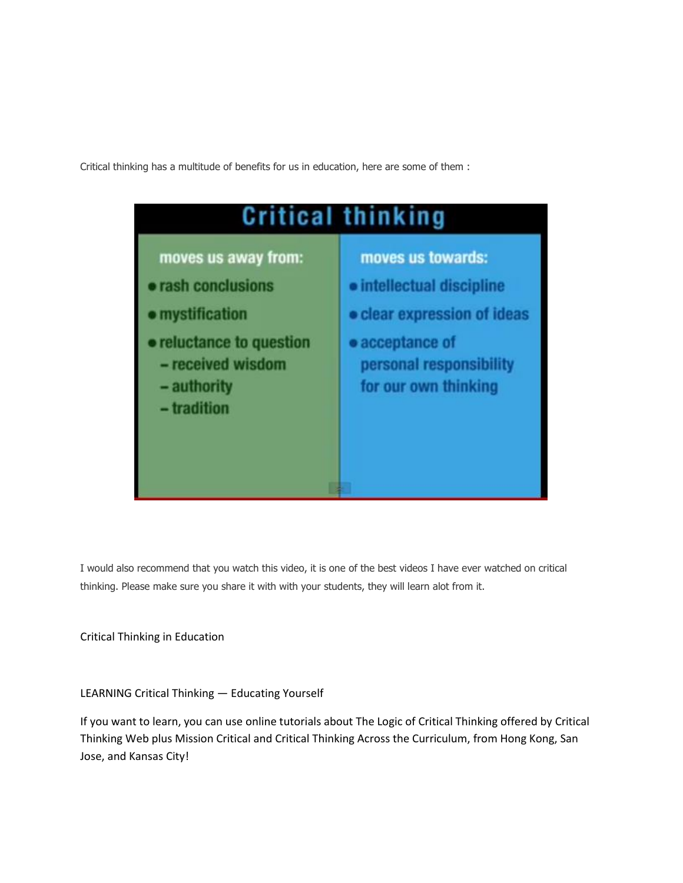Critical thinking has a multitude of benefits for us in education, here are some of them :



I would also recommend that you watch this video, it is one of the best videos I have ever watched on critical thinking. Please make sure you share it with with your students, they will learn alot from it.

Critical Thinking in Education

LEARNING Critical Thinking — Educating Yourself

If you want to learn, you can use online tutorials about The Logic of Critical Thinking offered by Critical Thinking Web plus Mission Critical and Critical Thinking Across the Curriculum, from Hong Kong, San Jose, and Kansas City!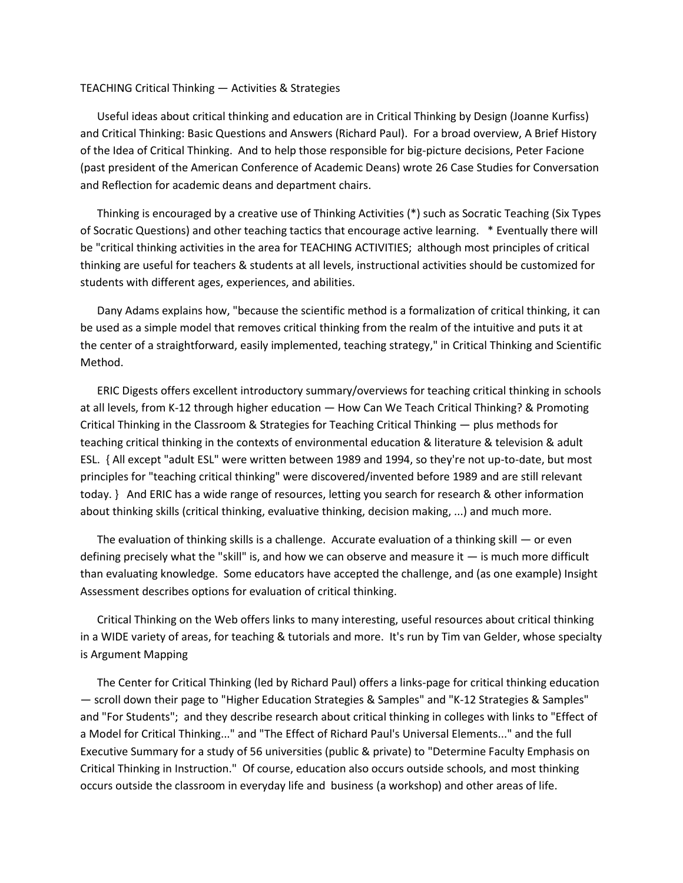#### TEACHING Critical Thinking — Activities & Strategies

 Useful ideas about critical thinking and education are in Critical Thinking by Design (Joanne Kurfiss) and Critical Thinking: Basic Questions and Answers (Richard Paul). For a broad overview, A Brief History of the Idea of Critical Thinking. And to help those responsible for big-picture decisions, Peter Facione (past president of the American Conference of Academic Deans) wrote 26 Case Studies for Conversation and Reflection for academic deans and department chairs.

 Thinking is encouraged by a creative use of Thinking Activities (\*) such as Socratic Teaching (Six Types of Socratic Questions) and other teaching tactics that encourage active learning. \* Eventually there will be "critical thinking activities in the area for TEACHING ACTIVITIES; although most principles of critical thinking are useful for teachers & students at all levels, instructional activities should be customized for students with different ages, experiences, and abilities.

 Dany Adams explains how, "because the scientific method is a formalization of critical thinking, it can be used as a simple model that removes critical thinking from the realm of the intuitive and puts it at the center of a straightforward, easily implemented, teaching strategy," in Critical Thinking and Scientific Method.

 ERIC Digests offers excellent introductory summary/overviews for teaching critical thinking in schools at all levels, from K-12 through higher education — How Can We Teach Critical Thinking? & Promoting Critical Thinking in the Classroom & Strategies for Teaching Critical Thinking — plus methods for teaching critical thinking in the contexts of environmental education & literature & television & adult ESL. { All except "adult ESL" were written between 1989 and 1994, so they're not up-to-date, but most principles for "teaching critical thinking" were discovered/invented before 1989 and are still relevant today. } And ERIC has a wide range of resources, letting you search for research & other information about thinking skills (critical thinking, evaluative thinking, decision making, ...) and much more.

The evaluation of thinking skills is a challenge. Accurate evaluation of a thinking skill  $-$  or even defining precisely what the "skill" is, and how we can observe and measure it — is much more difficult than evaluating knowledge. Some educators have accepted the challenge, and (as one example) Insight Assessment describes options for evaluation of critical thinking.

 Critical Thinking on the Web offers links to many interesting, useful resources about critical thinking in a WIDE variety of areas, for teaching & tutorials and more. It's run by Tim van Gelder, whose specialty is Argument Mapping

 The Center for Critical Thinking (led by Richard Paul) offers a links-page for critical thinking education — scroll down their page to "Higher Education Strategies & Samples" and "K-12 Strategies & Samples" and "For Students"; and they describe research about critical thinking in colleges with links to "Effect of a Model for Critical Thinking..." and "The Effect of Richard Paul's Universal Elements..." and the full Executive Summary for a study of 56 universities (public & private) to "Determine Faculty Emphasis on Critical Thinking in Instruction." Of course, education also occurs outside schools, and most thinking occurs outside the classroom in everyday life and business (a workshop) and other areas of life.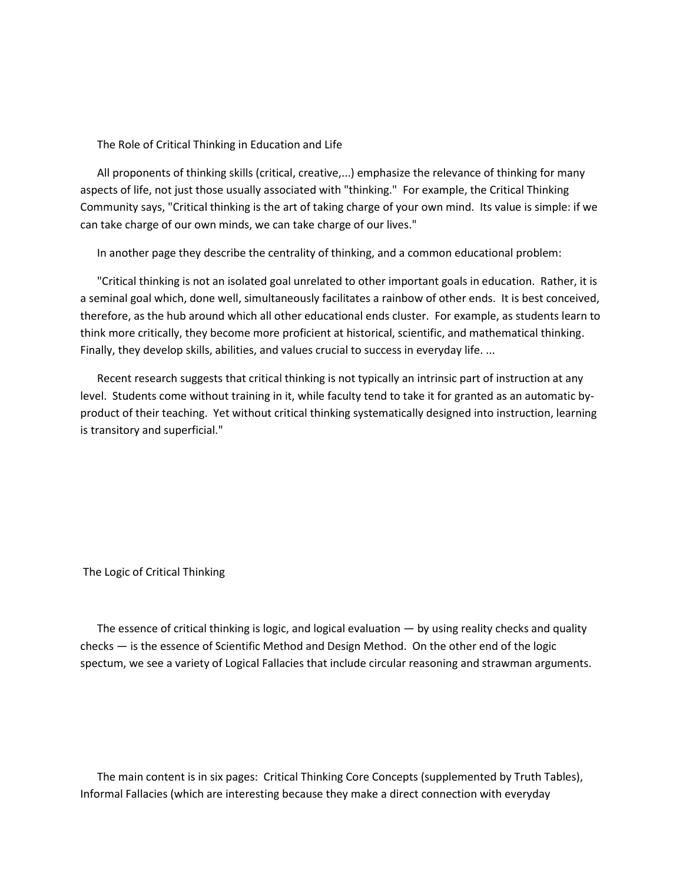The Role of Critical Thinking in Education and Life

 All proponents of thinking skills (critical, creative,...) emphasize the relevance of thinking for many aspects of life, not just those usually associated with "thinking." For example, the Critical Thinking Community says, "Critical thinking is the art of taking charge of your own mind. Its value is simple: if we can take charge of our own minds, we can take charge of our lives."

In another page they describe the centrality of thinking, and a common educational problem:

 "Critical thinking is not an isolated goal unrelated to other important goals in education. Rather, it is a seminal goal which, done well, simultaneously facilitates a rainbow of other ends. It is best conceived, therefore, as the hub around which all other educational ends cluster. For example, as students learn to think more critically, they become more proficient at historical, scientific, and mathematical thinking. Finally, they develop skills, abilities, and values crucial to success in everyday life. ...

 Recent research suggests that critical thinking is not typically an intrinsic part of instruction at any level. Students come without training in it, while faculty tend to take it for granted as an automatic byproduct of their teaching. Yet without critical thinking systematically designed into instruction, learning is transitory and superficial."

The Logic of Critical Thinking

 The essence of critical thinking is logic, and logical evaluation — by using reality checks and quality checks — is the essence of Scientific Method and Design Method. On the other end of the logic spectum, we see a variety of Logical Fallacies that include circular reasoning and strawman arguments.

 The main content is in six pages: Critical Thinking Core Concepts (supplemented by Truth Tables), Informal Fallacies (which are interesting because they make a direct connection with everyday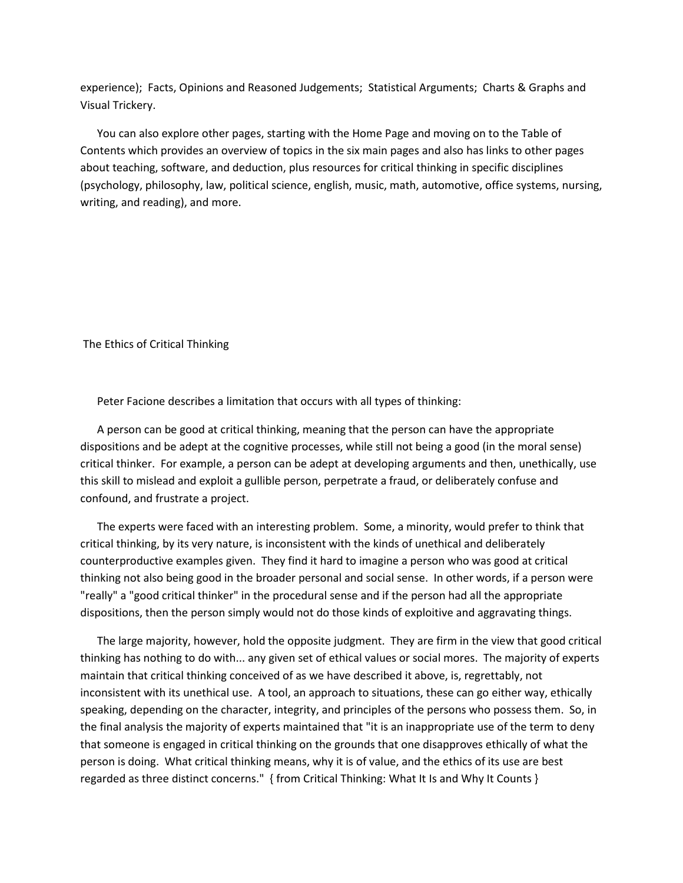experience); Facts, Opinions and Reasoned Judgements; Statistical Arguments; Charts & Graphs and Visual Trickery.

 You can also explore other pages, starting with the Home Page and moving on to the Table of Contents which provides an overview of topics in the six main pages and also has links to other pages about teaching, software, and deduction, plus resources for critical thinking in specific disciplines (psychology, philosophy, law, political science, english, music, math, automotive, office systems, nursing, writing, and reading), and more.

The Ethics of Critical Thinking

Peter Facione describes a limitation that occurs with all types of thinking:

 A person can be good at critical thinking, meaning that the person can have the appropriate dispositions and be adept at the cognitive processes, while still not being a good (in the moral sense) critical thinker. For example, a person can be adept at developing arguments and then, unethically, use this skill to mislead and exploit a gullible person, perpetrate a fraud, or deliberately confuse and confound, and frustrate a project.

 The experts were faced with an interesting problem. Some, a minority, would prefer to think that critical thinking, by its very nature, is inconsistent with the kinds of unethical and deliberately counterproductive examples given. They find it hard to imagine a person who was good at critical thinking not also being good in the broader personal and social sense. In other words, if a person were "really" a "good critical thinker" in the procedural sense and if the person had all the appropriate dispositions, then the person simply would not do those kinds of exploitive and aggravating things.

 The large majority, however, hold the opposite judgment. They are firm in the view that good critical thinking has nothing to do with... any given set of ethical values or social mores. The majority of experts maintain that critical thinking conceived of as we have described it above, is, regrettably, not inconsistent with its unethical use. A tool, an approach to situations, these can go either way, ethically speaking, depending on the character, integrity, and principles of the persons who possess them. So, in the final analysis the majority of experts maintained that "it is an inappropriate use of the term to deny that someone is engaged in critical thinking on the grounds that one disapproves ethically of what the person is doing. What critical thinking means, why it is of value, and the ethics of its use are best regarded as three distinct concerns." { from Critical Thinking: What It Is and Why It Counts }